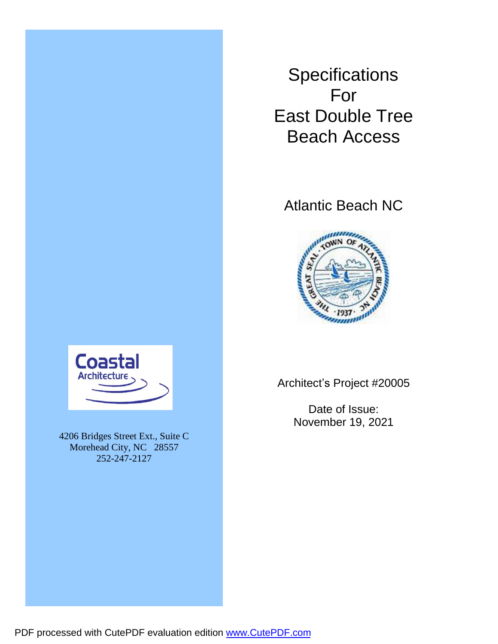**Specifications** For East Double Tree Beach Access

# Atlantic Beach NC





4206 Bridges Street Ext., Suite C Morehead City, NC 28557 252-247-2127

Architect's Project #20005

Date of Issue: November 19, 2021

PDF processed with CutePDF evaluation edition [www.CutePDF.com](http://www.cutepdf.com)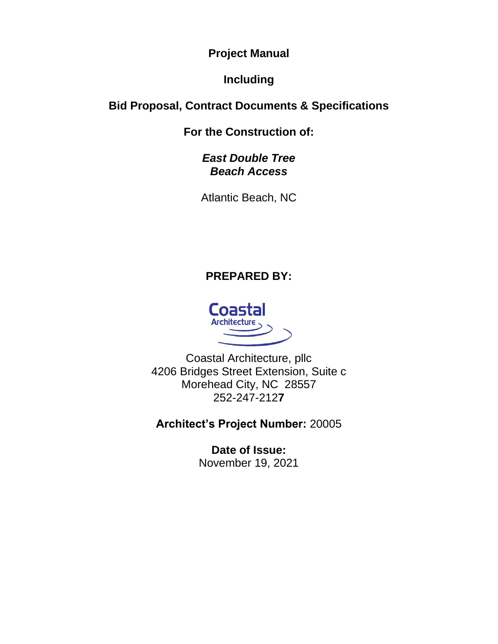**Project Manual**

# **Including**

# **Bid Proposal, Contract Documents & Specifications**

**For the Construction of:**

# *East Double Tree Beach Access*

Atlantic Beach, NC

# **PREPARED BY:**



Coastal Architecture, pllc 4206 Bridges Street Extension, Suite c Morehead City, NC 28557 252-247-212**7**

# **Architect's Project Number:** 20005

**Date of Issue:** November 19, 2021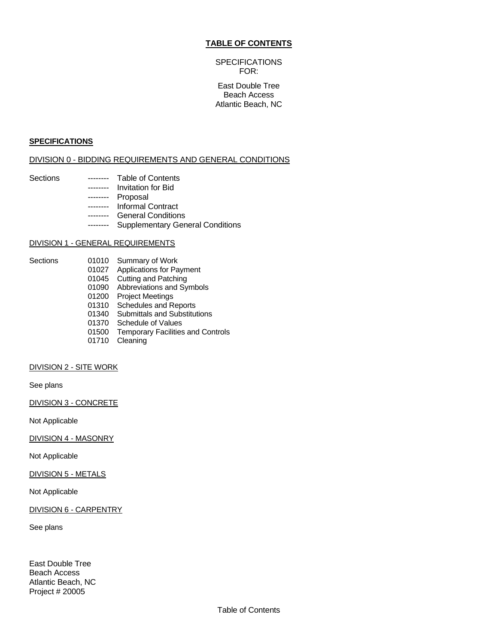#### **TABLE OF CONTENTS**

# **SPECIFICATIONS** FOR:

#### East Double Tree Beach Access Atlantic Beach, NC

#### **SPECIFICATIONS**

#### DIVISION 0 - BIDDING REQUIREMENTS AND GENERAL CONDITIONS

- Sections -------- Table of Contents
	- ------- Invitation for Bid
		- -------- Proposal
	- -------- Informal Contract
	- -------- General Conditions
	- -------- Supplementary General Conditions

#### DIVISION 1 - GENERAL REQUIREMENTS

- Sections 01010 Summary of Work
	- 01027 Applications for Payment
	- 01045 Cutting and Patching
	- 01090 Abbreviations and Symbols
	- 01200 Project Meetings
	- 01310 Schedules and Reports
	- 01340 Submittals and Substitutions
	- 01370 Schedule of Values
	- 01500 Temporary Facilities and Controls
	- 01710 Cleaning

#### DIVISION 2 - SITE WORK

See plans

DIVISION 3 - CONCRETE

Not Applicable

DIVISION 4 - MASONRY

Not Applicable

DIVISION 5 - METALS

Not Applicable

DIVISION 6 - CARPENTRY

See plans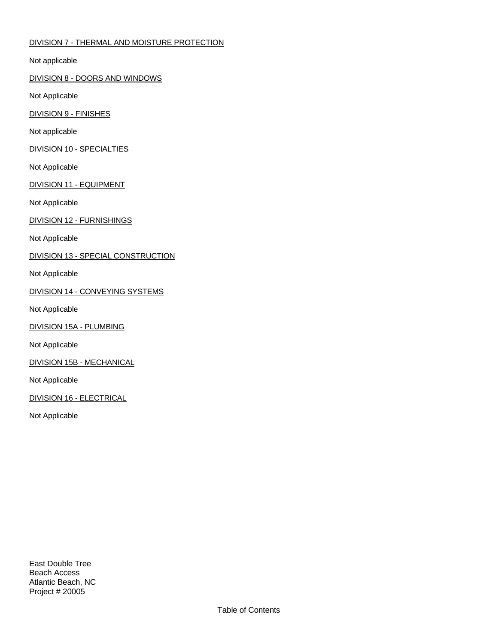# DIVISION 7 - THERMAL AND MOISTURE PROTECTION

Not applicable

DIVISION 8 - DOORS AND WINDOWS

Not Applicable

DIVISION 9 - FINISHES

Not applicable

DIVISION 10 - SPECIALTIES

Not Applicable

DIVISION 11 - EQUIPMENT

Not Applicable

DIVISION 12 - FURNISHINGS

Not Applicable

DIVISION 13 - SPECIAL CONSTRUCTION

Not Applicable

DIVISION 14 - CONVEYING SYSTEMS

Not Applicable

DIVISION 15A - PLUMBING

Not Applicable

DIVISION 15B - MECHANICAL

Not Applicable

DIVISION 16 - ELECTRICAL

Not Applicable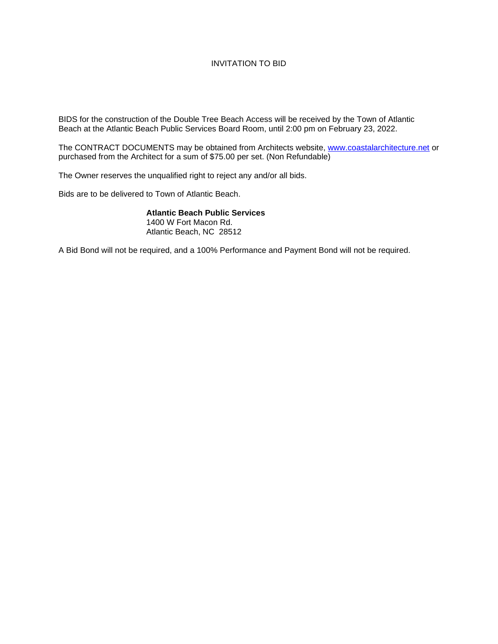# INVITATION TO BID

BIDS for the construction of the Double Tree Beach Access will be received by the Town of Atlantic Beach at the Atlantic Beach Public Services Board Room, until 2:00 pm on February 23, 2022.

The CONTRACT DOCUMENTS may be obtained from Architects website, [www.coastalarchitecture.net](http://www.coastalarchitecture.net/) or purchased from the Architect for a sum of \$75.00 per set. (Non Refundable)

The Owner reserves the unqualified right to reject any and/or all bids.

Bids are to be delivered to Town of Atlantic Beach.

**Atlantic Beach Public Services** 1400 W Fort Macon Rd. Atlantic Beach, NC 28512

A Bid Bond will not be required, and a 100% Performance and Payment Bond will not be required.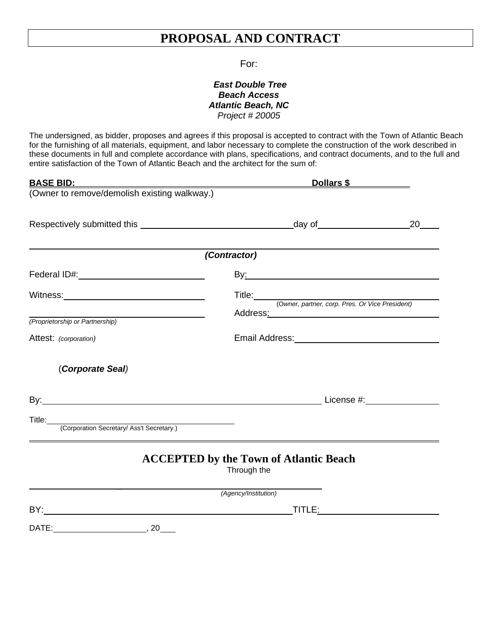# **PROPOSAL AND CONTRACT**

# For:

# *East Double Tree Beach Access Atlantic Beach, NC Project # 20005*

The undersigned, as bidder, proposes and agrees if this proposal is accepted to contract with the Town of Atlantic Beach for the furnishing of all materials, equipment, and labor necessary to complete the construction of the work described in these documents in full and complete accordance with plans, specifications, and contract documents, and to the full and entire satisfaction of the Town of Atlantic Beach and the architect for the sum of:

| <u>BASE BID:</u>                                                                                   | Dollars \$                                                                                                                                                                                                                     |    |
|----------------------------------------------------------------------------------------------------|--------------------------------------------------------------------------------------------------------------------------------------------------------------------------------------------------------------------------------|----|
| (Owner to remove/demolish existing walkway.)                                                       |                                                                                                                                                                                                                                |    |
|                                                                                                    |                                                                                                                                                                                                                                | 20 |
|                                                                                                    | (Contractor)                                                                                                                                                                                                                   |    |
| Federal ID#: Management Prederal ID#:                                                              | By: and the second contract of the second contract of the second contract of the second contract of the second contract of the second contract of the second contract of the second contract of the second contract of the sec |    |
| Witness: <u>_________________________________</u>                                                  | Title: <u>(Owner, partner, corp. Pres. Or Vice President)</u>                                                                                                                                                                  |    |
| <u> 1980 - Johann Barn, mars an t-Amerikaansk kommunister (</u><br>(Proprietorship or Partnership) | Address <u>:</u> Address:                                                                                                                                                                                                      |    |
| Attest: (corporation)                                                                              | Email Address: No. 1996                                                                                                                                                                                                        |    |
| (Corporate Seal)                                                                                   |                                                                                                                                                                                                                                |    |
|                                                                                                    |                                                                                                                                                                                                                                |    |
| Title: (Corporation Secretary/ Ass't Secretary.)                                                   |                                                                                                                                                                                                                                |    |
|                                                                                                    | <b>ACCEPTED by the Town of Atlantic Beach</b><br>Through the                                                                                                                                                                   |    |
|                                                                                                    | (Agency/Institution)                                                                                                                                                                                                           |    |
|                                                                                                    | TITLE: TITLE:                                                                                                                                                                                                                  |    |
|                                                                                                    |                                                                                                                                                                                                                                |    |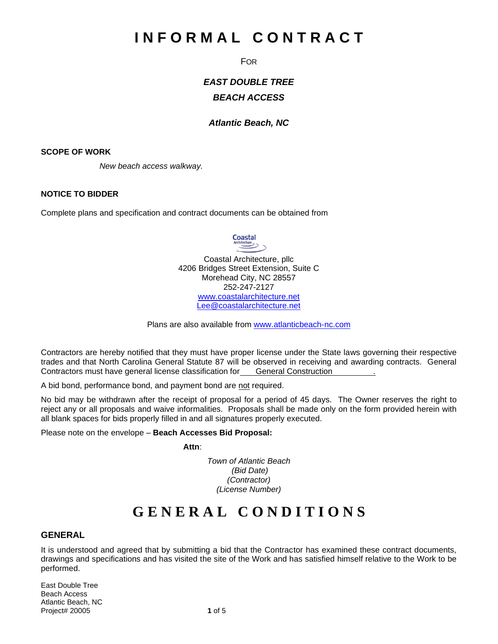# **I N F O R M A L C O N T R A C T**

FOR

*EAST DOUBLE TREE BEACH ACCESS*

# *Atlantic Beach, NC*

#### **SCOPE OF WORK**

*New beach access walkway.*

# **NOTICE TO BIDDER**

Complete plans and specification and contract documents can be obtained from

**Coastal**  $\overline{\phantom{a}}$ 

Coastal Architecture, pllc 4206 Bridges Street Extension, Suite C Morehead City, NC 28557 252-247-2127 [www.coastalarchitecture.net](http://www.coastalarchitecture.net/) [Lee@coastalarchitecture.net](mailto:Lee@coastalarchitecture.net)

Plans are also available from [www.atlanticbeach-nc.com](http://www.atlanticbeach-nc.com/)

Contractors are hereby notified that they must have proper license under the State laws governing their respective trades and that North Carolina General Statute 87 will be observed in receiving and awarding contracts. General Contractors must have general license classification for General Construction .

A bid bond, performance bond, and payment bond are not required.

No bid may be withdrawn after the receipt of proposal for a period of 45 days. The Owner reserves the right to reject any or all proposals and waive informalities. Proposals shall be made only on the form provided herein with all blank spaces for bids properly filled in and all signatures properly executed.

Please note on the envelope – **Beach Accesses Bid Proposal:**

*Attn:* 

*Town of Atlantic Beach (Bid Date) (Contractor) (License Number)*

# **G E N E R A L C O N D I T I O N S**

# **GENERAL**

It is understood and agreed that by submitting a bid that the Contractor has examined these contract documents, drawings and specifications and has visited the site of the Work and has satisfied himself relative to the Work to be performed.

East Double Tree Beach Access Atlantic Beach, NC Project# 20005 **1** of 5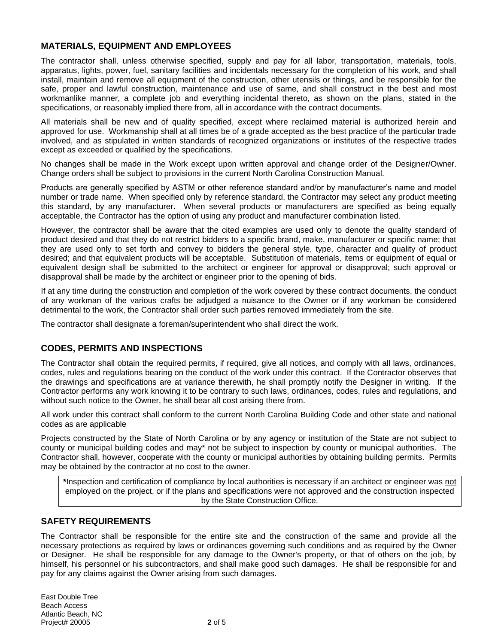# **MATERIALS, EQUIPMENT AND EMPLOYEES**

The contractor shall, unless otherwise specified, supply and pay for all labor, transportation, materials, tools, apparatus, lights, power, fuel, sanitary facilities and incidentals necessary for the completion of his work, and shall install, maintain and remove all equipment of the construction, other utensils or things, and be responsible for the safe, proper and lawful construction, maintenance and use of same, and shall construct in the best and most workmanlike manner, a complete job and everything incidental thereto, as shown on the plans, stated in the specifications, or reasonably implied there from, all in accordance with the contract documents.

All materials shall be new and of quality specified, except where reclaimed material is authorized herein and approved for use. Workmanship shall at all times be of a grade accepted as the best practice of the particular trade involved, and as stipulated in written standards of recognized organizations or institutes of the respective trades except as exceeded or qualified by the specifications.

No changes shall be made in the Work except upon written approval and change order of the Designer/Owner. Change orders shall be subject to provisions in the current North Carolina Construction Manual.

Products are generally specified by ASTM or other reference standard and/or by manufacturer's name and model number or trade name. When specified only by reference standard, the Contractor may select any product meeting this standard, by any manufacturer. When several products or manufacturers are specified as being equally acceptable, the Contractor has the option of using any product and manufacturer combination listed.

However, the contractor shall be aware that the cited examples are used only to denote the quality standard of product desired and that they do not restrict bidders to a specific brand, make, manufacturer or specific name; that they are used only to set forth and convey to bidders the general style, type, character and quality of product desired; and that equivalent products will be acceptable. Substitution of materials, items or equipment of equal or equivalent design shall be submitted to the architect or engineer for approval or disapproval; such approval or disapproval shall be made by the architect or engineer prior to the opening of bids.

If at any time during the construction and completion of the work covered by these contract documents, the conduct of any workman of the various crafts be adjudged a nuisance to the Owner or if any workman be considered detrimental to the work, the Contractor shall order such parties removed immediately from the site.

The contractor shall designate a foreman/superintendent who shall direct the work.

# **CODES, PERMITS AND INSPECTIONS**

The Contractor shall obtain the required permits, if required, give all notices, and comply with all laws, ordinances, codes, rules and regulations bearing on the conduct of the work under this contract. If the Contractor observes that the drawings and specifications are at variance therewith, he shall promptly notify the Designer in writing. If the Contractor performs any work knowing it to be contrary to such laws, ordinances, codes, rules and regulations, and without such notice to the Owner, he shall bear all cost arising there from.

All work under this contract shall conform to the current North Carolina Building Code and other state and national codes as are applicable

Projects constructed by the State of North Carolina or by any agency or institution of the State are not subject to county or municipal building codes and may\* not be subject to inspection by county or municipal authorities. The Contractor shall, however, cooperate with the county or municipal authorities by obtaining building permits. Permits may be obtained by the contractor at no cost to the owner.

**\***Inspection and certification of compliance by local authorities is necessary if an architect or engineer was not employed on the project, or if the plans and specifications were not approved and the construction inspected by the State Construction Office.

# **SAFETY REQUIREMENTS**

The Contractor shall be responsible for the entire site and the construction of the same and provide all the necessary protections as required by laws or ordinances governing such conditions and as required by the Owner or Designer. He shall be responsible for any damage to the Owner's property, or that of others on the job, by himself, his personnel or his subcontractors, and shall make good such damages. He shall be responsible for and pay for any claims against the Owner arising from such damages.

East Double Tree Beach Access Atlantic Beach, NC Project# 20005 **2** of 5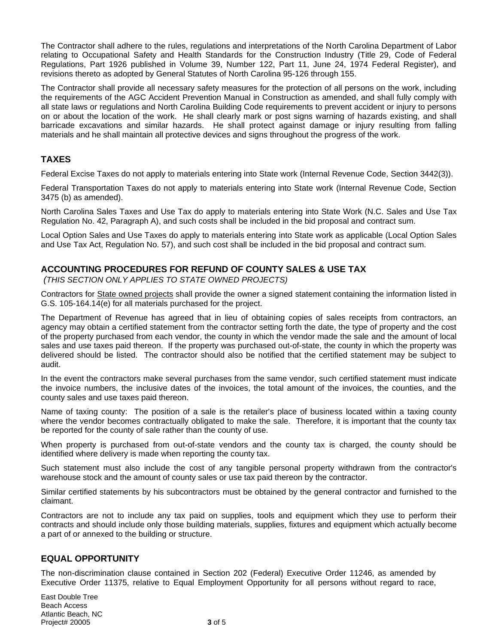The Contractor shall adhere to the rules, regulations and interpretations of the North Carolina Department of Labor relating to Occupational Safety and Health Standards for the Construction Industry (Title 29, Code of Federal Regulations, Part 1926 published in Volume 39, Number 122, Part 11, June 24, 1974 Federal Register), and revisions thereto as adopted by General Statutes of North Carolina 95-126 through 155.

The Contractor shall provide all necessary safety measures for the protection of all persons on the work, including the requirements of the AGC Accident Prevention Manual in Construction as amended, and shall fully comply with all state laws or regulations and North Carolina Building Code requirements to prevent accident or injury to persons on or about the location of the work. He shall clearly mark or post signs warning of hazards existing, and shall barricade excavations and similar hazards. He shall protect against damage or injury resulting from falling materials and he shall maintain all protective devices and signs throughout the progress of the work.

# **TAXES**

Federal Excise Taxes do not apply to materials entering into State work (Internal Revenue Code, Section 3442(3)).

Federal Transportation Taxes do not apply to materials entering into State work (Internal Revenue Code, Section 3475 (b) as amended).

North Carolina Sales Taxes and Use Tax do apply to materials entering into State Work (N.C. Sales and Use Tax Regulation No. 42, Paragraph A), and such costs shall be included in the bid proposal and contract sum.

Local Option Sales and Use Taxes do apply to materials entering into State work as applicable (Local Option Sales and Use Tax Act, Regulation No. 57), and such cost shall be included in the bid proposal and contract sum.

# **ACCOUNTING PROCEDURES FOR REFUND OF COUNTY SALES & USE TAX**

*(THIS SECTION ONLY APPLIES TO STATE OWNED PROJECTS)*

Contractors for State owned projects shall provide the owner a signed statement containing the information listed in G.S. 105-164.14(e) for all materials purchased for the project.

The Department of Revenue has agreed that in lieu of obtaining copies of sales receipts from contractors, an agency may obtain a certified statement from the contractor setting forth the date, the type of property and the cost of the property purchased from each vendor, the county in which the vendor made the sale and the amount of local sales and use taxes paid thereon. If the property was purchased out-of-state, the county in which the property was delivered should be listed. The contractor should also be notified that the certified statement may be subject to audit.

In the event the contractors make several purchases from the same vendor, such certified statement must indicate the invoice numbers, the inclusive dates of the invoices, the total amount of the invoices, the counties, and the county sales and use taxes paid thereon.

Name of taxing county: The position of a sale is the retailer's place of business located within a taxing county where the vendor becomes contractually obligated to make the sale. Therefore, it is important that the county tax be reported for the county of sale rather than the county of use.

When property is purchased from out-of-state vendors and the county tax is charged, the county should be identified where delivery is made when reporting the county tax.

Such statement must also include the cost of any tangible personal property withdrawn from the contractor's warehouse stock and the amount of county sales or use tax paid thereon by the contractor.

Similar certified statements by his subcontractors must be obtained by the general contractor and furnished to the claimant.

Contractors are not to include any tax paid on supplies, tools and equipment which they use to perform their contracts and should include only those building materials, supplies, fixtures and equipment which actually become a part of or annexed to the building or structure.

# **EQUAL OPPORTUNITY**

The non-discrimination clause contained in Section 202 (Federal) Executive Order 11246, as amended by Executive Order 11375, relative to Equal Employment Opportunity for all persons without regard to race,

East Double Tree Beach Access Atlantic Beach, NC Project# 20005 **3** of 5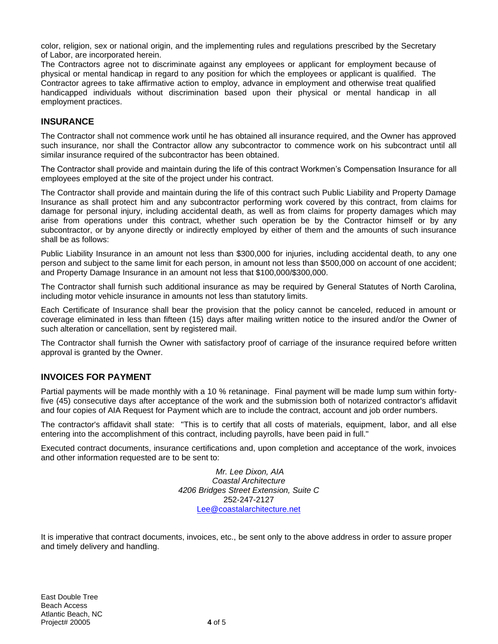color, religion, sex or national origin, and the implementing rules and regulations prescribed by the Secretary of Labor, are incorporated herein.

The Contractors agree not to discriminate against any employees or applicant for employment because of physical or mental handicap in regard to any position for which the employees or applicant is qualified. The Contractor agrees to take affirmative action to employ, advance in employment and otherwise treat qualified handicapped individuals without discrimination based upon their physical or mental handicap in all employment practices.

# **INSURANCE**

The Contractor shall not commence work until he has obtained all insurance required, and the Owner has approved such insurance, nor shall the Contractor allow any subcontractor to commence work on his subcontract until all similar insurance required of the subcontractor has been obtained.

The Contractor shall provide and maintain during the life of this contract Workmen's Compensation Insurance for all employees employed at the site of the project under his contract.

The Contractor shall provide and maintain during the life of this contract such Public Liability and Property Damage Insurance as shall protect him and any subcontractor performing work covered by this contract, from claims for damage for personal injury, including accidental death, as well as from claims for property damages which may arise from operations under this contract, whether such operation be by the Contractor himself or by any subcontractor, or by anyone directly or indirectly employed by either of them and the amounts of such insurance shall be as follows:

Public Liability Insurance in an amount not less than \$300,000 for injuries, including accidental death, to any one person and subject to the same limit for each person, in amount not less than \$500,000 on account of one accident; and Property Damage Insurance in an amount not less that \$100,000/\$300,000.

The Contractor shall furnish such additional insurance as may be required by General Statutes of North Carolina, including motor vehicle insurance in amounts not less than statutory limits.

Each Certificate of Insurance shall bear the provision that the policy cannot be canceled, reduced in amount or coverage eliminated in less than fifteen (15) days after mailing written notice to the insured and/or the Owner of such alteration or cancellation, sent by registered mail.

The Contractor shall furnish the Owner with satisfactory proof of carriage of the insurance required before written approval is granted by the Owner.

# **INVOICES FOR PAYMENT**

Partial payments will be made monthly with a 10 % retaninage. Final payment will be made lump sum within fortyfive (45) consecutive days after acceptance of the work and the submission both of notarized contractor's affidavit and four copies of AIA Request for Payment which are to include the contract, account and job order numbers.

The contractor's affidavit shall state: "This is to certify that all costs of materials, equipment, labor, and all else entering into the accomplishment of this contract, including payrolls, have been paid in full."

Executed contract documents, insurance certifications and, upon completion and acceptance of the work, invoices and other information requested are to be sent to:

> *Mr. Lee Dixon, AIA Coastal Architecture 4206 Bridges Street Extension, Suite C* 252-247-2127 [Lee@coastalarchitecture.net](mailto:Lee@coastalarchitecture.net)

It is imperative that contract documents, invoices, etc., be sent only to the above address in order to assure proper and timely delivery and handling.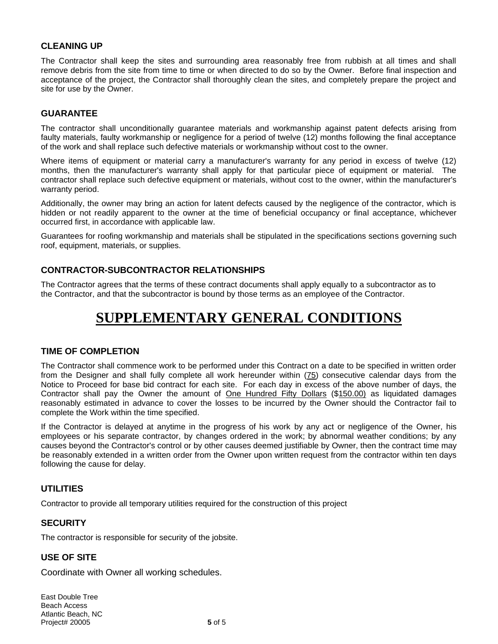# **CLEANING UP**

The Contractor shall keep the sites and surrounding area reasonably free from rubbish at all times and shall remove debris from the site from time to time or when directed to do so by the Owner. Before final inspection and acceptance of the project, the Contractor shall thoroughly clean the sites, and completely prepare the project and site for use by the Owner.

# **GUARANTEE**

The contractor shall unconditionally guarantee materials and workmanship against patent defects arising from faulty materials, faulty workmanship or negligence for a period of twelve (12) months following the final acceptance of the work and shall replace such defective materials or workmanship without cost to the owner.

Where items of equipment or material carry a manufacturer's warranty for any period in excess of twelve (12) months, then the manufacturer's warranty shall apply for that particular piece of equipment or material. The contractor shall replace such defective equipment or materials, without cost to the owner, within the manufacturer's warranty period.

Additionally, the owner may bring an action for latent defects caused by the negligence of the contractor, which is hidden or not readily apparent to the owner at the time of beneficial occupancy or final acceptance, whichever occurred first, in accordance with applicable law.

Guarantees for roofing workmanship and materials shall be stipulated in the specifications sections governing such roof, equipment, materials, or supplies.

# **CONTRACTOR-SUBCONTRACTOR RELATIONSHIPS**

The Contractor agrees that the terms of these contract documents shall apply equally to a subcontractor as to the Contractor, and that the subcontractor is bound by those terms as an employee of the Contractor.

# **SUPPLEMENTARY GENERAL CONDITIONS**

# **TIME OF COMPLETION**

The Contractor shall commence work to be performed under this Contract on a date to be specified in written order from the Designer and shall fully complete all work hereunder within (75) consecutive calendar days from the Notice to Proceed for base bid contract for each site. For each day in excess of the above number of days, the Contractor shall pay the Owner the amount of One Hundred Fifty Dollars (\$150.00) as liquidated damages reasonably estimated in advance to cover the losses to be incurred by the Owner should the Contractor fail to complete the Work within the time specified.

If the Contractor is delayed at anytime in the progress of his work by any act or negligence of the Owner, his employees or his separate contractor, by changes ordered in the work; by abnormal weather conditions; by any causes beyond the Contractor's control or by other causes deemed justifiable by Owner, then the contract time may be reasonably extended in a written order from the Owner upon written request from the contractor within ten days following the cause for delay.

# **UTILITIES**

Contractor to provide all temporary utilities required for the construction of this project

# **SECURITY**

The contractor is responsible for security of the jobsite.

# **USE OF SITE**

Coordinate with Owner all working schedules.

East Double Tree Beach Access Atlantic Beach, NC Project# 20005 **5** of 5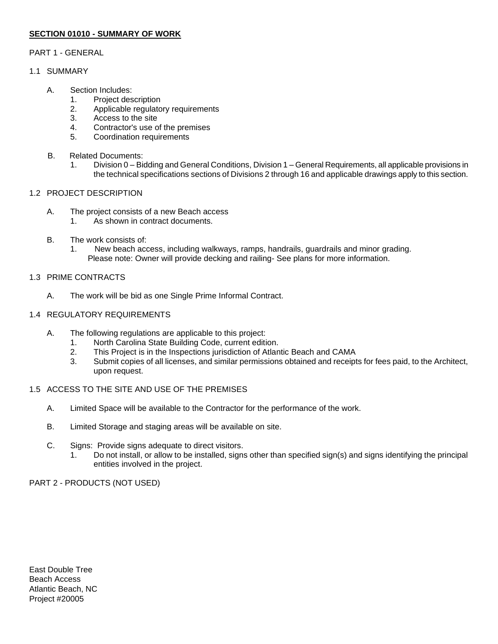# **SECTION 01010 - SUMMARY OF WORK**

# PART 1 - GENERAL

# 1.1 SUMMARY

- A. Section Includes:
	- 1. Project description
	- 2. Applicable regulatory requirements
	- 3. Access to the site
	- 4. Contractor's use of the premises
	- 5. Coordination requirements
- B. Related Documents:
	- 1. Division 0 Bidding and General Conditions, Division 1 General Requirements, all applicable provisions in the technical specifications sections of Divisions 2 through 16 and applicable drawings apply to this section.

# 1.2 PROJECT DESCRIPTION

- A. The project consists of a new Beach access
	- 1. As shown in contract documents.
- B. The work consists of:
	- 1. New beach access, including walkways, ramps, handrails, guardrails and minor grading. Please note: Owner will provide decking and railing- See plans for more information.

# 1.3 PRIME CONTRACTS

A. The work will be bid as one Single Prime Informal Contract.

# 1.4 REGULATORY REQUIREMENTS

- A. The following regulations are applicable to this project:
	- 1. North Carolina State Building Code, current edition.
	- 2. This Project is in the Inspections jurisdiction of Atlantic Beach and CAMA
	- 3. Submit copies of all licenses, and similar permissions obtained and receipts for fees paid, to the Architect, upon request.

# 1.5 ACCESS TO THE SITE AND USE OF THE PREMISES

- A. Limited Space will be available to the Contractor for the performance of the work.
- B. Limited Storage and staging areas will be available on site.
- C. Signs: Provide signs adequate to direct visitors.
	- 1. Do not install, or allow to be installed, signs other than specified sign(s) and signs identifying the principal entities involved in the project.

# PART 2 - PRODUCTS (NOT USED)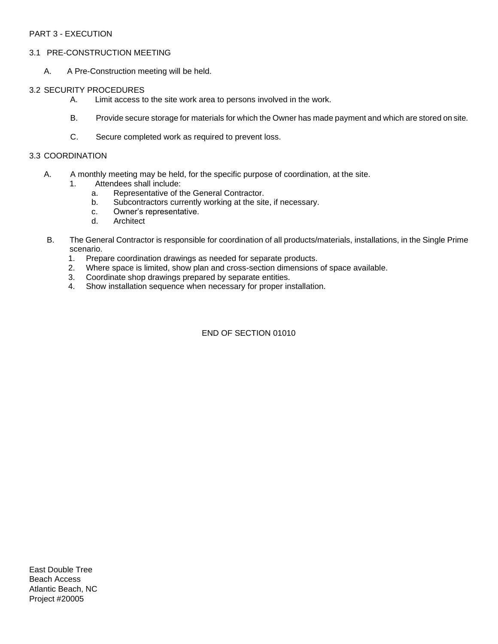# PART 3 - EXECUTION

#### 3.1 PRE-CONSTRUCTION MEETING

A. A Pre-Construction meeting will be held.

#### 3.2 SECURITY PROCEDURES

- A. Limit access to the site work area to persons involved in the work.
- B. Provide secure storage for materials for which the Owner has made payment and which are stored on site.
- C. Secure completed work as required to prevent loss.

#### 3.3 COORDINATION

- A. A monthly meeting may be held, for the specific purpose of coordination, at the site.
	- 1. Attendees shall include:
		- a. Representative of the General Contractor.
		- b. Subcontractors currently working at the site, if necessary.
		- c. Owner's representative.
		- d. Architect
- B. The General Contractor is responsible for coordination of all products/materials, installations, in the Single Prime scenario.
	- 1. Prepare coordination drawings as needed for separate products.
	- 2. Where space is limited, show plan and cross-section dimensions of space available.
	- 3. Coordinate shop drawings prepared by separate entities.
	- 4. Show installation sequence when necessary for proper installation.

# END OF SECTION 01010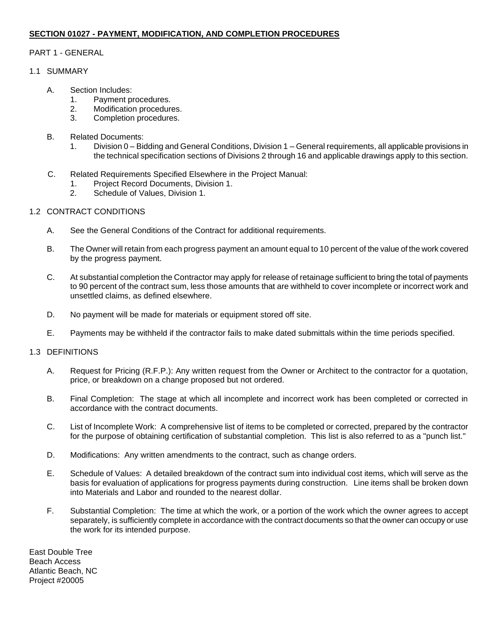# **SECTION 01027 - PAYMENT, MODIFICATION, AND COMPLETION PROCEDURES**

# PART 1 - GENERAL

# 1.1 SUMMARY

- A. Section Includes:
	- 1. Payment procedures.
	- 2. Modification procedures.
	- 3. Completion procedures.
- B. Related Documents:
	- 1. Division 0 Bidding and General Conditions, Division 1 General requirements, all applicable provisions in the technical specification sections of Divisions 2 through 16 and applicable drawings apply to this section.
- C. Related Requirements Specified Elsewhere in the Project Manual:
	- 1. Project Record Documents, Division 1.
	- 2. Schedule of Values, Division 1.

# 1.2 CONTRACT CONDITIONS

- A. See the General Conditions of the Contract for additional requirements.
- B. The Owner will retain from each progress payment an amount equal to 10 percent of the value of the work covered by the progress payment.
- C. At substantial completion the Contractor may apply for release of retainage sufficient to bring the total of payments to 90 percent of the contract sum, less those amounts that are withheld to cover incomplete or incorrect work and unsettled claims, as defined elsewhere.
- D. No payment will be made for materials or equipment stored off site.
- E. Payments may be withheld if the contractor fails to make dated submittals within the time periods specified.

# 1.3 DEFINITIONS

- A. Request for Pricing (R.F.P.): Any written request from the Owner or Architect to the contractor for a quotation, price, or breakdown on a change proposed but not ordered.
- B. Final Completion: The stage at which all incomplete and incorrect work has been completed or corrected in accordance with the contract documents.
- C. List of Incomplete Work: A comprehensive list of items to be completed or corrected, prepared by the contractor for the purpose of obtaining certification of substantial completion. This list is also referred to as a "punch list."
- D. Modifications: Any written amendments to the contract, such as change orders.
- E. Schedule of Values: A detailed breakdown of the contract sum into individual cost items, which will serve as the basis for evaluation of applications for progress payments during construction. Line items shall be broken down into Materials and Labor and rounded to the nearest dollar.
- F. Substantial Completion: The time at which the work, or a portion of the work which the owner agrees to accept separately, is sufficiently complete in accordance with the contract documents so that the owner can occupy or use the work for its intended purpose.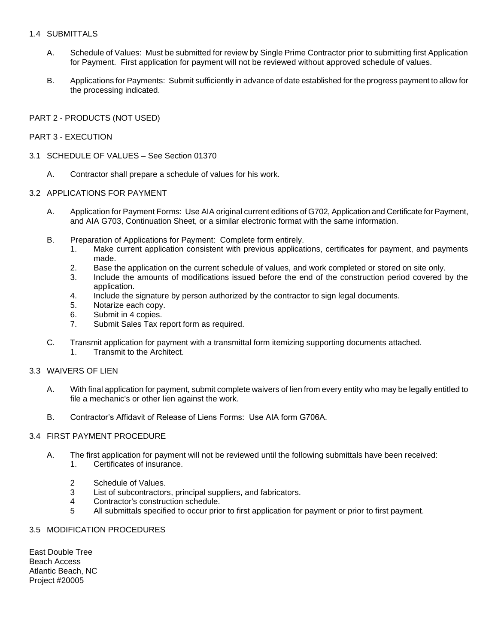# 1.4 SUBMITTALS

- A. Schedule of Values: Must be submitted for review by Single Prime Contractor prior to submitting first Application for Payment. First application for payment will not be reviewed without approved schedule of values.
- B. Applications for Payments: Submit sufficiently in advance of date established for the progress payment to allow for the processing indicated.

# PART 2 - PRODUCTS (NOT USED)

# PART 3 - EXECUTION

- 3.1 SCHEDULE OF VALUES See Section 01370
	- A. Contractor shall prepare a schedule of values for his work.

#### 3.2 APPLICATIONS FOR PAYMENT

- A. Application for Payment Forms: Use AIA original current editions of G702, Application and Certificate for Payment, and AIA G703, Continuation Sheet, or a similar electronic format with the same information.
- B. Preparation of Applications for Payment: Complete form entirely.
	- 1. Make current application consistent with previous applications, certificates for payment, and payments made.
	- 2. Base the application on the current schedule of values, and work completed or stored on site only.
	- 3. Include the amounts of modifications issued before the end of the construction period covered by the application.
	- 4. Include the signature by person authorized by the contractor to sign legal documents.
	- 5. Notarize each copy.
	- 6. Submit in 4 copies.
	- 7. Submit Sales Tax report form as required.
- C. Transmit application for payment with a transmittal form itemizing supporting documents attached.
	- 1. Transmit to the Architect.

# 3.3 WAIVERS OF LIEN

- A. With final application for payment, submit complete waivers of lien from every entity who may be legally entitled to file a mechanic's or other lien against the work.
- B. Contractor's Affidavit of Release of Liens Forms: Use AIA form G706A.

#### 3.4 FIRST PAYMENT PROCEDURE

- A. The first application for payment will not be reviewed until the following submittals have been received:
	- 1. Certificates of insurance.
	- 2 Schedule of Values.
	- 3 List of subcontractors, principal suppliers, and fabricators.
	- 4 Contractor's construction schedule.
	- 5 All submittals specified to occur prior to first application for payment or prior to first payment.

# 3.5 MODIFICATION PROCEDURES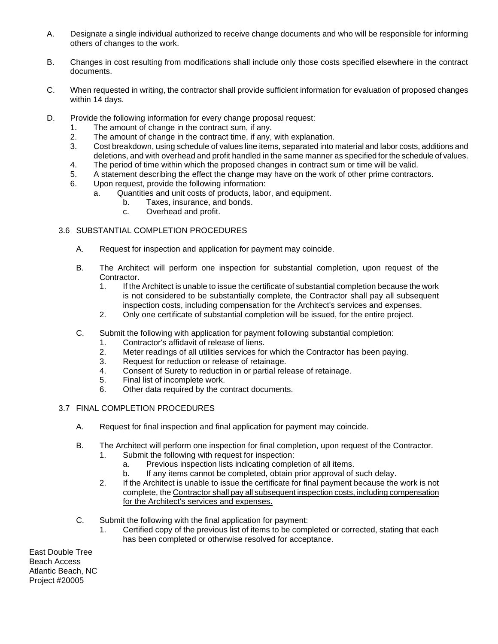- A. Designate a single individual authorized to receive change documents and who will be responsible for informing others of changes to the work.
- B. Changes in cost resulting from modifications shall include only those costs specified elsewhere in the contract documents.
- C. When requested in writing, the contractor shall provide sufficient information for evaluation of proposed changes within 14 days.
- D. Provide the following information for every change proposal request:
	- 1. The amount of change in the contract sum, if any.
	- 2. The amount of change in the contract time, if any, with explanation.
	- 3. Cost breakdown, using schedule of values line items, separated into material and labor costs, additions and deletions, and with overhead and profit handled in the same manner as specified for the schedule of values.
	- 4. The period of time within which the proposed changes in contract sum or time will be valid.
	- 5. A statement describing the effect the change may have on the work of other prime contractors.
	- 6. Upon request, provide the following information:
		- a. Quantities and unit costs of products, labor, and equipment.
			- b. Taxes, insurance, and bonds.
			- c. Overhead and profit.

# 3.6 SUBSTANTIAL COMPLETION PROCEDURES

- A. Request for inspection and application for payment may coincide.
- B. The Architect will perform one inspection for substantial completion, upon request of the Contractor.
	- 1. If the Architect is unable to issue the certificate of substantial completion because the work is not considered to be substantially complete, the Contractor shall pay all subsequent inspection costs, including compensation for the Architect's services and expenses.
	- 2. Only one certificate of substantial completion will be issued, for the entire project.
- C. Submit the following with application for payment following substantial completion:
	- 1. Contractor's affidavit of release of liens.
	- 2. Meter readings of all utilities services for which the Contractor has been paying.
	- 3. Request for reduction or release of retainage.
	- 4. Consent of Surety to reduction in or partial release of retainage.
	- 5. Final list of incomplete work.
	- 6. Other data required by the contract documents.
- 3.7 FINAL COMPLETION PROCEDURES
	- A. Request for final inspection and final application for payment may coincide.
	- B. The Architect will perform one inspection for final completion, upon request of the Contractor. 1. Submit the following with request for inspection:
		- a. Previous inspection lists indicating completion of all items.
		- b. If any items cannot be completed, obtain prior approval of such delay.
		- 2. If the Architect is unable to issue the certificate for final payment because the work is not complete, the Contractor shall pay all subsequent inspection costs, including compensation for the Architect's services and expenses.
	- C. Submit the following with the final application for payment:
		- 1. Certified copy of the previous list of items to be completed or corrected, stating that each has been completed or otherwise resolved for acceptance.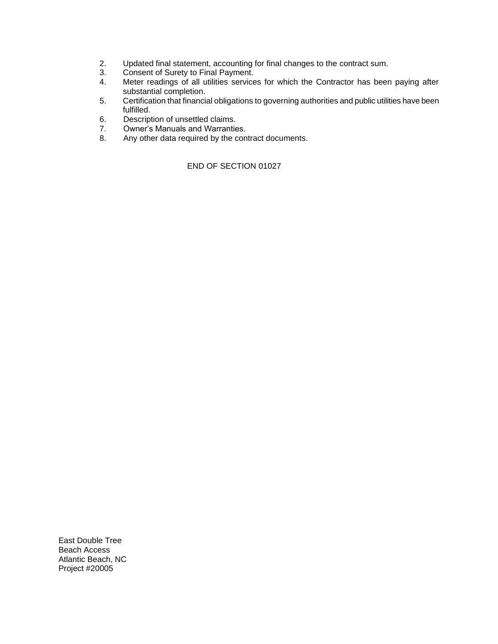- 2. Updated final statement, accounting for final changes to the contract sum.<br>3. Consent of Surety to Final Payment.
- 3. Consent of Surety to Final Payment.
- 4. Meter readings of all utilities services for which the Contractor has been paying after substantial completion.
- 5. Certification that financial obligations to governing authorities and public utilities have been fulfilled.
- 6. Description of unsettled claims.
- 7. Owner's Manuals and Warranties.
- 8. Any other data required by the contract documents.

END OF SECTION 01027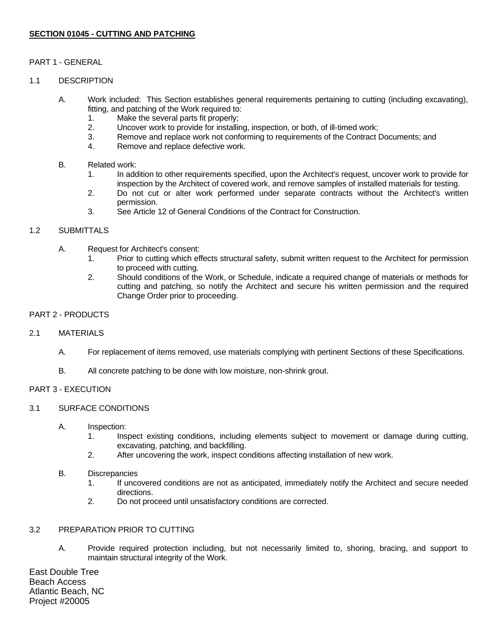# **SECTION 01045 - CUTTING AND PATCHING**

# PART 1 - GENERAL

#### 1.1 DESCRIPTION

- A. Work included: This Section establishes general requirements pertaining to cutting (including excavating), fitting, and patching of the Work required to:
	- 1. Make the several parts fit properly;
	- 2. Uncover work to provide for installing, inspection, or both, of ill-timed work;
	- 3. Remove and replace work not conforming to requirements of the Contract Documents; and
	- 4. Remove and replace defective work.

#### B. Related work:

- 1. In addition to other requirements specified, upon the Architect's request, uncover work to provide for inspection by the Architect of covered work, and remove samples of installed materials for testing.
- 2. Do not cut or alter work performed under separate contracts without the Architect's written permission.
- 3. See Article 12 of General Conditions of the Contract for Construction.

# 1.2 SUBMITTALS

- A. Request for Architect's consent:
	- 1. Prior to cutting which effects structural safety, submit written request to the Architect for permission to proceed with cutting.
	- 2. Should conditions of the Work, or Schedule, indicate a required change of materials or methods for cutting and patching, so notify the Architect and secure his written permission and the required Change Order prior to proceeding.

# PART 2 - PRODUCTS

#### 2.1 MATERIALS

- A. For replacement of items removed, use materials complying with pertinent Sections of these Specifications.
- B. All concrete patching to be done with low moisture, non-shrink grout.

#### PART 3 - EXECUTION

#### 3.1 SURFACE CONDITIONS

- A. Inspection:
	- 1. Inspect existing conditions, including elements subject to movement or damage during cutting, excavating, patching, and backfilling.
	- 2. After uncovering the work, inspect conditions affecting installation of new work.

#### B. Discrepancies

- 1. If uncovered conditions are not as anticipated, immediately notify the Architect and secure needed directions.
- 2. Do not proceed until unsatisfactory conditions are corrected.

#### 3.2 PREPARATION PRIOR TO CUTTING

A. Provide required protection including, but not necessarily limited to, shoring, bracing, and support to maintain structural integrity of the Work.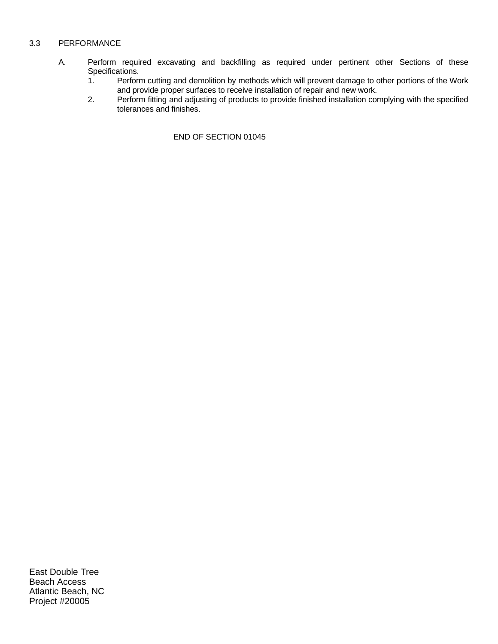# 3.3 PERFORMANCE

- A. Perform required excavating and backfilling as required under pertinent other Sections of these Specifications.<br>1. Perform
	- Perform cutting and demolition by methods which will prevent damage to other portions of the Work and provide proper surfaces to receive installation of repair and new work.
	- 2. Perform fitting and adjusting of products to provide finished installation complying with the specified tolerances and finishes.

END OF SECTION 01045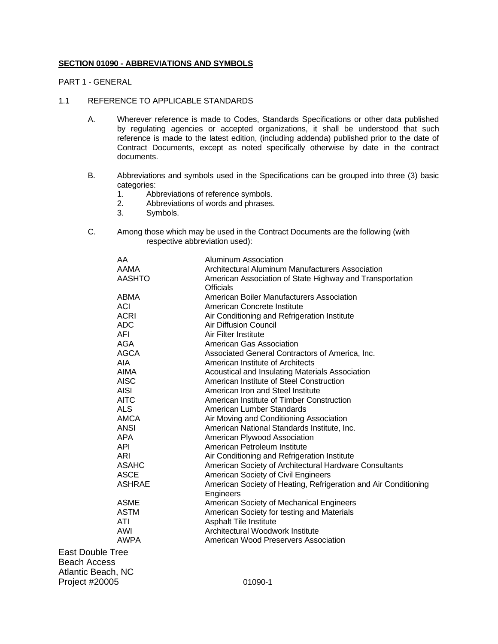#### **SECTION 01090 - ABBREVIATIONS AND SYMBOLS**

PART 1 - GENERAL

#### 1.1 REFERENCE TO APPLICABLE STANDARDS

- A. Wherever reference is made to Codes, Standards Specifications or other data published by regulating agencies or accepted organizations, it shall be understood that such reference is made to the latest edition, (including addenda) published prior to the date of Contract Documents, except as noted specifically otherwise by date in the contract documents.
- B. Abbreviations and symbols used in the Specifications can be grouped into three (3) basic categories:
	- 1. Abbreviations of reference symbols.
	- 2. Abbreviations of words and phrases.
	- 3. Symbols.
- C. Among those which may be used in the Contract Documents are the following (with respective abbreviation used):

|      | AA            | Aluminum Association                                            |
|------|---------------|-----------------------------------------------------------------|
|      | AAMA          | Architectural Aluminum Manufacturers Association                |
|      | <b>AASHTO</b> | American Association of State Highway and Transportation        |
|      |               | <b>Officials</b>                                                |
|      | ABMA          | American Boiler Manufacturers Association                       |
|      | ACI           | American Concrete Institute                                     |
|      | <b>ACRI</b>   | Air Conditioning and Refrigeration Institute                    |
|      | <b>ADC</b>    | <b>Air Diffusion Council</b>                                    |
|      | AFI           | Air Filter Institute                                            |
|      | AGA           | American Gas Association                                        |
|      | AGCA          | Associated General Contractors of America, Inc.                 |
|      | AIA           | American Institute of Architects                                |
|      | <b>AIMA</b>   | Acoustical and Insulating Materials Association                 |
|      | <b>AISC</b>   | American Institute of Steel Construction                        |
|      | <b>AISI</b>   | American Iron and Steel Institute                               |
|      | <b>AITC</b>   | American Institute of Timber Construction                       |
|      | <b>ALS</b>    | American Lumber Standards                                       |
|      | AMCA          | Air Moving and Conditioning Association                         |
|      | <b>ANSI</b>   | American National Standards Institute, Inc.                     |
|      | <b>APA</b>    | American Plywood Association                                    |
|      | <b>API</b>    | American Petroleum Institute                                    |
|      | <b>ARI</b>    | Air Conditioning and Refrigeration Institute                    |
|      | <b>ASAHC</b>  | American Society of Architectural Hardware Consultants          |
|      | <b>ASCE</b>   | American Society of Civil Engineers                             |
|      | <b>ASHRAE</b> | American Society of Heating, Refrigeration and Air Conditioning |
|      |               | Engineers                                                       |
|      | <b>ASME</b>   | American Society of Mechanical Engineers                        |
|      | <b>ASTM</b>   | American Society for testing and Materials                      |
|      | ATI           | <b>Asphalt Tile Institute</b>                                   |
|      | AWI           | Architectural Woodwork Institute                                |
|      | <b>AWPA</b>   | American Wood Preservers Association                            |
|      | ble Tree      |                                                                 |
| cess |               |                                                                 |
|      | $5.55$ MO     |                                                                 |

East Doub **Beach Acc** Atlantic Beach, NC Project #20005 01090-1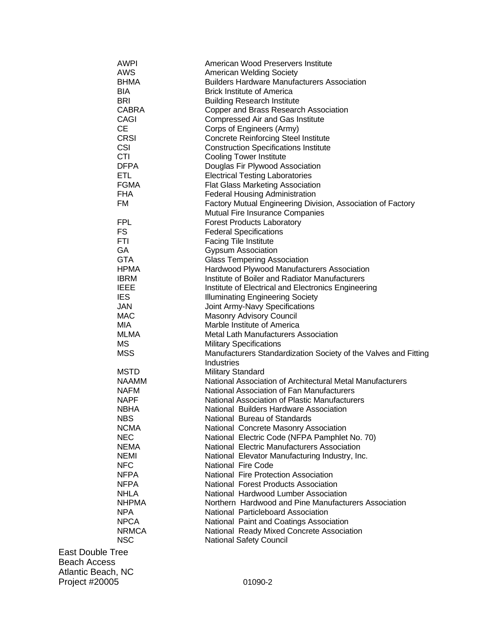| AWPI                        | American Wood Preservers Institute                                                    |
|-----------------------------|---------------------------------------------------------------------------------------|
| <b>AWS</b><br><b>BHMA</b>   | <b>American Welding Society</b><br><b>Builders Hardware Manufacturers Association</b> |
| BIA                         | <b>Brick Institute of America</b>                                                     |
|                             |                                                                                       |
| <b>BRI</b>                  | <b>Building Research Institute</b>                                                    |
| <b>CABRA</b><br><b>CAGI</b> | Copper and Brass Research Association                                                 |
| <b>CE</b>                   | Compressed Air and Gas Institute                                                      |
| <b>CRSI</b>                 | Corps of Engineers (Army)<br><b>Concrete Reinforcing Steel Institute</b>              |
| <b>CSI</b>                  |                                                                                       |
| <b>CTI</b>                  | <b>Construction Specifications Institute</b>                                          |
| <b>DFPA</b>                 | <b>Cooling Tower Institute</b><br>Douglas Fir Plywood Association                     |
| ETL                         |                                                                                       |
|                             | <b>Electrical Testing Laboratories</b>                                                |
| <b>FGMA</b>                 | <b>Flat Glass Marketing Association</b>                                               |
| <b>FHA</b>                  | <b>Federal Housing Administration</b>                                                 |
| FM                          | Factory Mutual Engineering Division, Association of Factory                           |
| <b>FPL</b>                  | Mutual Fire Insurance Companies                                                       |
| <b>FS</b>                   | <b>Forest Products Laboratory</b>                                                     |
|                             | <b>Federal Specifications</b>                                                         |
| FTI<br>GA                   | <b>Facing Tile Institute</b>                                                          |
| <b>GTA</b>                  | <b>Gypsum Association</b>                                                             |
|                             | <b>Glass Tempering Association</b>                                                    |
| <b>HPMA</b>                 | Hardwood Plywood Manufacturers Association                                            |
| <b>IBRM</b>                 | Institute of Boiler and Radiator Manufacturers                                        |
| <b>IEEE</b>                 | Institute of Electrical and Electronics Engineering                                   |
| <b>IES</b>                  | <b>Illuminating Engineering Society</b>                                               |
| JAN                         | Joint Army-Navy Specifications                                                        |
| <b>MAC</b>                  | Masonry Advisory Council                                                              |
| <b>MIA</b>                  | Marble Institute of America                                                           |
| MLMA                        | Metal Lath Manufacturers Association                                                  |
| <b>MS</b>                   | <b>Military Specifications</b>                                                        |
| <b>MSS</b>                  | Manufacturers Standardization Society of the Valves and Fitting<br>Industries         |
| <b>MSTD</b>                 | <b>Military Standard</b>                                                              |
| <b>NAAMM</b>                | National Association of Architectural Metal Manufacturers                             |
| <b>NAFM</b>                 | National Association of Fan Manufacturers                                             |
| <b>NAPF</b>                 | National Association of Plastic Manufacturers                                         |
| <b>NBHA</b>                 | National Builders Hardware Association                                                |
| <b>NBS</b>                  | National Bureau of Standards                                                          |
| <b>NCMA</b>                 | National Concrete Masonry Association                                                 |
| <b>NEC</b>                  | National Electric Code (NFPA Pamphlet No. 70)                                         |
| <b>NEMA</b>                 | National Electric Manufacturers Association                                           |
| <b>NEMI</b>                 | National Elevator Manufacturing Industry, Inc.                                        |
| <b>NFC</b>                  | <b>National Fire Code</b>                                                             |
| <b>NFPA</b>                 | National Fire Protection Association                                                  |
| <b>NFPA</b>                 | National Forest Products Association                                                  |
| <b>NHLA</b>                 | National Hardwood Lumber Association                                                  |
| <b>NHPMA</b>                | Northern Hardwood and Pine Manufacturers Association                                  |
| <b>NPA</b>                  | National Particleboard Association                                                    |
| <b>NPCA</b>                 | National Paint and Coatings Association                                               |
| <b>NRMCA</b>                | National Ready Mixed Concrete Association                                             |
| <b>NSC</b>                  | <b>National Safety Council</b>                                                        |
| <b>East Double Tree</b>     |                                                                                       |
| <b>Beach Access</b>         |                                                                                       |
| Atlantic Beach, NC          |                                                                                       |
| Project #20005              | 01090-2                                                                               |
|                             |                                                                                       |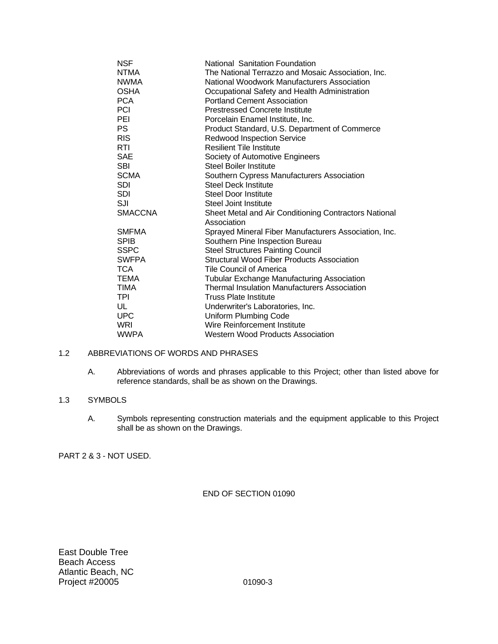| NSF            | National Sanitation Foundation                        |
|----------------|-------------------------------------------------------|
| NTMA           | The National Terrazzo and Mosaic Association, Inc.    |
| <b>NWMA</b>    | National Woodwork Manufacturers Association           |
| OSHA           | Occupational Safety and Health Administration         |
| <b>PCA</b>     | <b>Portland Cement Association</b>                    |
| PCI            | <b>Prestressed Concrete Institute</b>                 |
| PEI            | Porcelain Enamel Institute, Inc.                      |
| <b>PS</b>      | Product Standard, U.S. Department of Commerce         |
| <b>RIS</b>     | <b>Redwood Inspection Service</b>                     |
| RTI            | <b>Resilient Tile Institute</b>                       |
| <b>SAE</b>     | Society of Automotive Engineers                       |
| SBI            | <b>Steel Boiler Institute</b>                         |
| <b>SCMA</b>    | Southern Cypress Manufacturers Association            |
| <b>SDI</b>     | <b>Steel Deck Institute</b>                           |
| SDI            | <b>Steel Door Institute</b>                           |
| SJI            | Steel Joint Institute                                 |
| <b>SMACCNA</b> | Sheet Metal and Air Conditioning Contractors National |
|                | Association                                           |
| <b>SMFMA</b>   | Sprayed Mineral Fiber Manufacturers Association, Inc. |
| <b>SPIB</b>    | Southern Pine Inspection Bureau                       |
| SSPC           | <b>Steel Structures Painting Council</b>              |
| <b>SWFPA</b>   | Structural Wood Fiber Products Association            |
| TCA            | Tile Council of America                               |
| TEMA           | <b>Tubular Exchange Manufacturing Association</b>     |
| TIMA           | <b>Thermal Insulation Manufacturers Association</b>   |
| TPI            | <b>Truss Plate Institute</b>                          |
| UL             | Underwriter's Laboratories, Inc.                      |
| UPC            | Uniform Plumbing Code                                 |
| WRI            | Wire Reinforcement Institute                          |
| WWPA           | <b>Western Wood Products Association</b>              |

# 1.2 ABBREVIATIONS OF WORDS AND PHRASES

A. Abbreviations of words and phrases applicable to this Project; other than listed above for reference standards, shall be as shown on the Drawings.

# 1.3 SYMBOLS

A. Symbols representing construction materials and the equipment applicable to this Project shall be as shown on the Drawings.

PART 2 & 3 - NOT USED.

# END OF SECTION 01090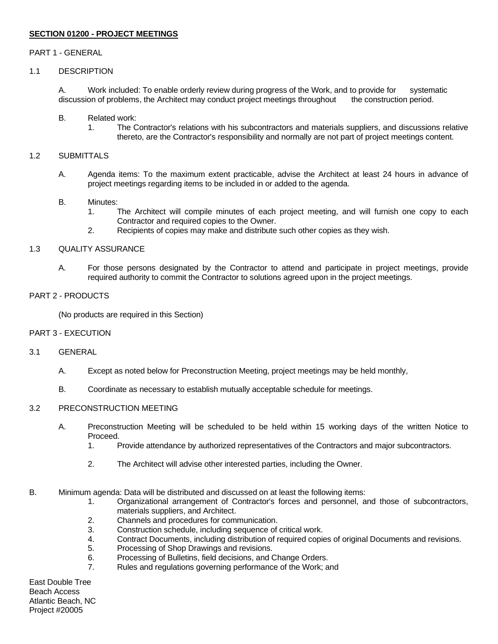# **SECTION 01200 - PROJECT MEETINGS**

#### PART 1 - GENERAL

# 1.1 DESCRIPTION

A. Work included: To enable orderly review during progress of the Work, and to provide for systematic discussion of problems, the Architect may conduct project meetings throughout the construction period.

- B. Related work:
	- 1. The Contractor's relations with his subcontractors and materials suppliers, and discussions relative thereto, are the Contractor's responsibility and normally are not part of project meetings content.

#### 1.2 SUBMITTALS

A. Agenda items: To the maximum extent practicable, advise the Architect at least 24 hours in advance of project meetings regarding items to be included in or added to the agenda.

#### B. Minutes:

- 1. The Architect will compile minutes of each project meeting, and will furnish one copy to each Contractor and required copies to the Owner.
- 2. Recipients of copies may make and distribute such other copies as they wish.

#### 1.3 QUALITY ASSURANCE

A. For those persons designated by the Contractor to attend and participate in project meetings, provide required authority to commit the Contractor to solutions agreed upon in the project meetings.

# PART 2 - PRODUCTS

(No products are required in this Section)

#### PART 3 - EXECUTION

#### 3.1 GENERAL

- A. Except as noted below for Preconstruction Meeting, project meetings may be held monthly,
- B. Coordinate as necessary to establish mutually acceptable schedule for meetings.

#### 3.2 PRECONSTRUCTION MEETING

- A. Preconstruction Meeting will be scheduled to be held within 15 working days of the written Notice to Proceed.
	- 1. Provide attendance by authorized representatives of the Contractors and major subcontractors.
	- 2. The Architect will advise other interested parties, including the Owner.
- B. Minimum agenda: Data will be distributed and discussed on at least the following items:
	- 1. Organizational arrangement of Contractor's forces and personnel, and those of subcontractors, materials suppliers, and Architect.
	- 2. Channels and procedures for communication.
	- 3. Construction schedule, including sequence of critical work.
	- 4. Contract Documents, including distribution of required copies of original Documents and revisions.
	- 5. Processing of Shop Drawings and revisions.
	- 6. Processing of Bulletins, field decisions, and Change Orders.
	- 7. Rules and regulations governing performance of the Work; and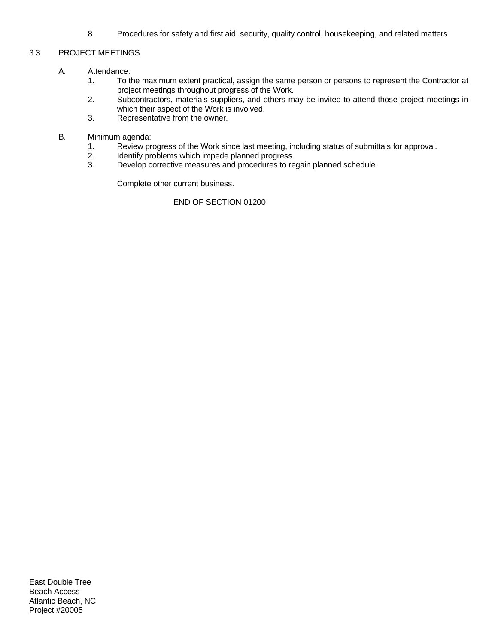8. Procedures for safety and first aid, security, quality control, housekeeping, and related matters.

# 3.3 PROJECT MEETINGS

- A. Attendance:
	- 1. To the maximum extent practical, assign the same person or persons to represent the Contractor at project meetings throughout progress of the Work.
	- 2. Subcontractors, materials suppliers, and others may be invited to attend those project meetings in which their aspect of the Work is involved.
	- 3. Representative from the owner.
- B. Minimum agenda:
	- 1. Review progress of the Work since last meeting, including status of submittals for approval.
	- 2. Identify problems which impede planned progress.<br>3. Develop corrective measures and procedures to re
	- Develop corrective measures and procedures to regain planned schedule.

Complete other current business.

END OF SECTION 01200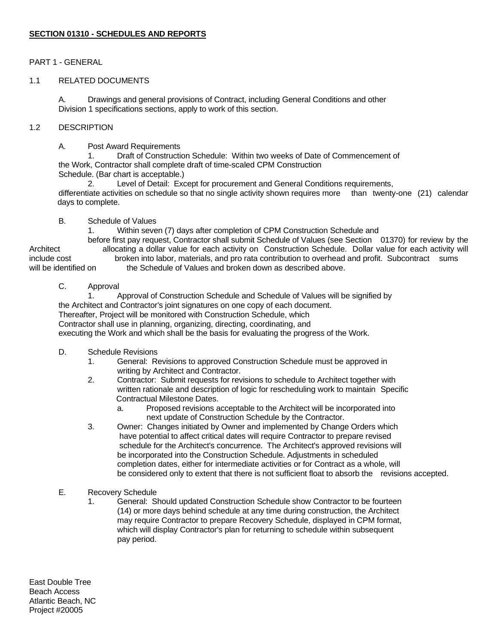# PART 1 - GENERAL

# 1.1 RELATED DOCUMENTS

A. Drawings and general provisions of Contract, including General Conditions and other Division 1 specifications sections, apply to work of this section.

# 1.2 DESCRIPTION

A. Post Award Requirements

1. Draft of Construction Schedule: Within two weeks of Date of Commencement of the Work, Contractor shall complete draft of time-scaled CPM Construction

Schedule. (Bar chart is acceptable.)

2. Level of Detail: Except for procurement and General Conditions requirements, differentiate activities on schedule so that no single activity shown requires more than twenty-one (21) calendar days to complete.

# B. Schedule of Values

1. Within seven (7) days after completion of CPM Construction Schedule and

before first pay request, Contractor shall submit Schedule of Values (see Section 01370) for review by the Architect allocating a dollar value for each activity on Construction Schedule. Dollar value for each activity will include cost broken into labor, materials, and pro rata contribution to overhead and profit. Subcontract sums will be identified on the Schedule of Values and broken down as described above.

# C. Approval

1. Approval of Construction Schedule and Schedule of Values will be signified by the Architect and Contractor's joint signatures on one copy of each document. Thereafter, Project will be monitored with Construction Schedule, which Contractor shall use in planning, organizing, directing, coordinating, and executing the Work and which shall be the basis for evaluating the progress of the Work.

- D. Schedule Revisions
	- 1. General: Revisions to approved Construction Schedule must be approved in writing by Architect and Contractor.
	- 2. Contractor: Submit requests for revisions to schedule to Architect together with written rationale and description of logic for rescheduling work to maintain Specific Contractual Milestone Dates.
		- a. Proposed revisions acceptable to the Architect will be incorporated into next update of Construction Schedule by the Contractor.
	- 3. Owner: Changes initiated by Owner and implemented by Change Orders which have potential to affect critical dates will require Contractor to prepare revised schedule for the Architect's concurrence. The Architect's approved revisions will be incorporated into the Construction Schedule. Adjustments in scheduled completion dates, either for intermediate activities or for Contract as a whole, will be considered only to extent that there is not sufficient float to absorb the revisions accepted.
- E. Recovery Schedule
	- 1. General: Should updated Construction Schedule show Contractor to be fourteen (14) or more days behind schedule at any time during construction, the Architect may require Contractor to prepare Recovery Schedule, displayed in CPM format, which will display Contractor's plan for returning to schedule within subsequent pay period.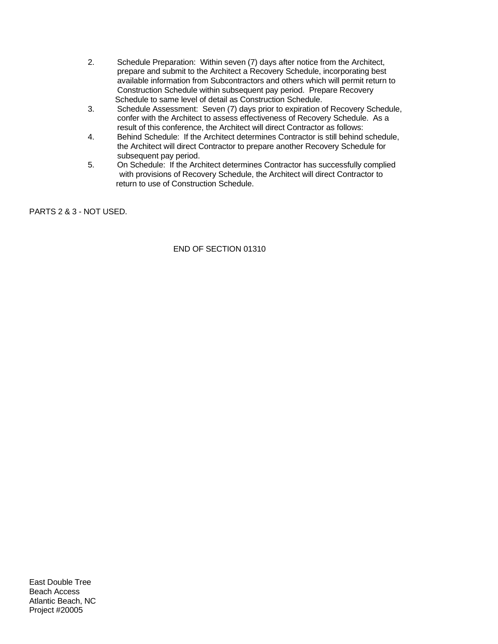- 2. Schedule Preparation: Within seven (7) days after notice from the Architect, prepare and submit to the Architect a Recovery Schedule, incorporating best available information from Subcontractors and others which will permit return to Construction Schedule within subsequent pay period. Prepare Recovery Schedule to same level of detail as Construction Schedule.
- 3. Schedule Assessment: Seven (7) days prior to expiration of Recovery Schedule, confer with the Architect to assess effectiveness of Recovery Schedule. As a result of this conference, the Architect will direct Contractor as follows:
- 4. Behind Schedule: If the Architect determines Contractor is still behind schedule, the Architect will direct Contractor to prepare another Recovery Schedule for subsequent pay period.
- 5. On Schedule: If the Architect determines Contractor has successfully complied with provisions of Recovery Schedule, the Architect will direct Contractor to return to use of Construction Schedule.

PARTS 2 & 3 - NOT USED.

END OF SECTION 01310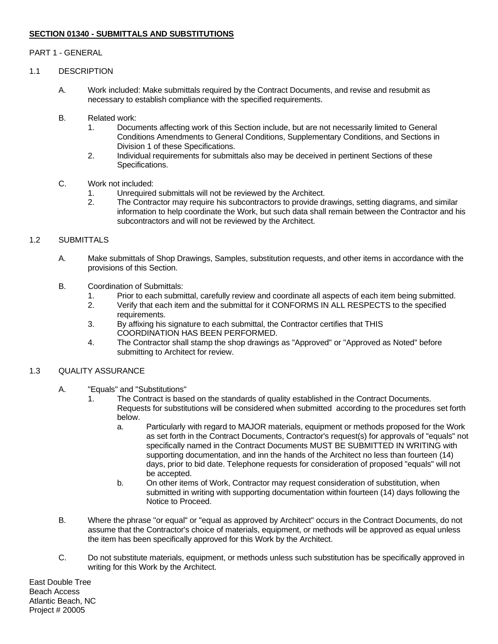# **SECTION 01340 - SUBMITTALS AND SUBSTITUTIONS**

# PART 1 - GENERAL

# 1.1 DESCRIPTION

- A. Work included: Make submittals required by the Contract Documents, and revise and resubmit as necessary to establish compliance with the specified requirements.
- B. Related work:
	- 1. Documents affecting work of this Section include, but are not necessarily limited to General Conditions Amendments to General Conditions, Supplementary Conditions, and Sections in Division 1 of these Specifications.
	- 2. Individual requirements for submittals also may be deceived in pertinent Sections of these Specifications.

#### C. Work not included:

- 1. Unrequired submittals will not be reviewed by the Architect.
- 2. The Contractor may require his subcontractors to provide drawings, setting diagrams, and similar information to help coordinate the Work, but such data shall remain between the Contractor and his subcontractors and will not be reviewed by the Architect.

# 1.2 SUBMITTALS

- A. Make submittals of Shop Drawings, Samples, substitution requests, and other items in accordance with the provisions of this Section.
- B. Coordination of Submittals:
	- 1. Prior to each submittal, carefully review and coordinate all aspects of each item being submitted.
	- 2. Verify that each item and the submittal for it CONFORMS IN ALL RESPECTS to the specified requirements.
	- 3. By affixing his signature to each submittal, the Contractor certifies that THIS COORDINATION HAS BEEN PERFORMED.
	- 4. The Contractor shall stamp the shop drawings as "Approved" or "Approved as Noted" before submitting to Architect for review.

#### 1.3 QUALITY ASSURANCE

- A. "Equals" and "Substitutions"
	- 1. The Contract is based on the standards of quality established in the Contract Documents. Requests for substitutions will be considered when submitted according to the procedures set forth below.
		- a. Particularly with regard to MAJOR materials, equipment or methods proposed for the Work as set forth in the Contract Documents, Contractor's request(s) for approvals of "equals" not specifically named in the Contract Documents MUST BE SUBMITTED IN WRITING with supporting documentation, and inn the hands of the Architect no less than fourteen (14) days, prior to bid date. Telephone requests for consideration of proposed "equals" will not be accepted.
		- b. On other items of Work, Contractor may request consideration of substitution, when submitted in writing with supporting documentation within fourteen (14) days following the Notice to Proceed.
- B. Where the phrase "or equal" or "equal as approved by Architect" occurs in the Contract Documents, do not assume that the Contractor's choice of materials, equipment, or methods will be approved as equal unless the item has been specifically approved for this Work by the Architect.
- C. Do not substitute materials, equipment, or methods unless such substitution has be specifically approved in writing for this Work by the Architect.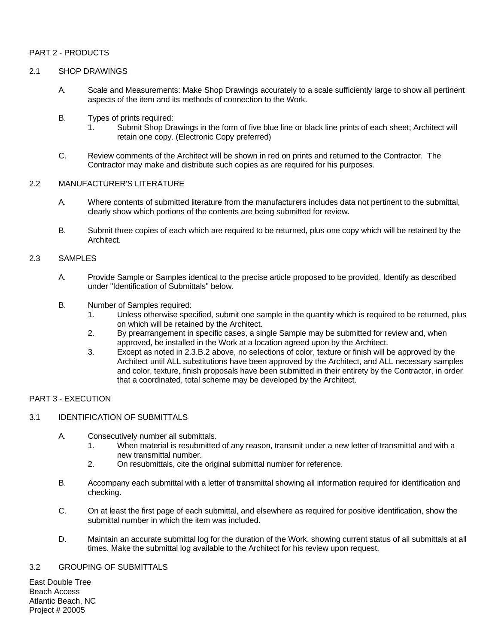# PART 2 - PRODUCTS

# 2.1 SHOP DRAWINGS

- A. Scale and Measurements: Make Shop Drawings accurately to a scale sufficiently large to show all pertinent aspects of the item and its methods of connection to the Work.
- B. Types of prints required:
	- 1. Submit Shop Drawings in the form of five blue line or black line prints of each sheet; Architect will retain one copy. (Electronic Copy preferred)
- C. Review comments of the Architect will be shown in red on prints and returned to the Contractor. The Contractor may make and distribute such copies as are required for his purposes.

#### 2.2 MANUFACTURER'S LITERATURE

- A. Where contents of submitted literature from the manufacturers includes data not pertinent to the submittal, clearly show which portions of the contents are being submitted for review.
- B. Submit three copies of each which are required to be returned, plus one copy which will be retained by the Architect.

#### 2.3 SAMPLES

- A. Provide Sample or Samples identical to the precise article proposed to be provided. Identify as described under "Identification of Submittals" below.
- B. Number of Samples required:
	- 1. Unless otherwise specified, submit one sample in the quantity which is required to be returned, plus on which will be retained by the Architect.
	- 2. By prearrangement in specific cases, a single Sample may be submitted for review and, when approved, be installed in the Work at a location agreed upon by the Architect.
	- 3. Except as noted in 2.3.B.2 above, no selections of color, texture or finish will be approved by the Architect until ALL substitutions have been approved by the Architect, and ALL necessary samples and color, texture, finish proposals have been submitted in their entirety by the Contractor, in order that a coordinated, total scheme may be developed by the Architect.

# PART 3 - EXECUTION

# 3.1 IDENTIFICATION OF SUBMITTALS

- A. Consecutively number all submittals.
	- 1. When material is resubmitted of any reason, transmit under a new letter of transmittal and with a new transmittal number.
	- 2. On resubmittals, cite the original submittal number for reference.
- B. Accompany each submittal with a letter of transmittal showing all information required for identification and checking.
- C. On at least the first page of each submittal, and elsewhere as required for positive identification, show the submittal number in which the item was included.
- D. Maintain an accurate submittal log for the duration of the Work, showing current status of all submittals at all times. Make the submittal log available to the Architect for his review upon request.

#### 3.2 GROUPING OF SUBMITTALS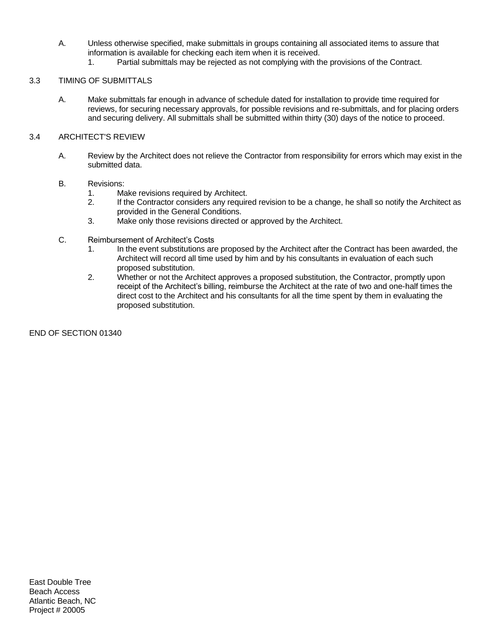- A. Unless otherwise specified, make submittals in groups containing all associated items to assure that information is available for checking each item when it is received.
	- 1. Partial submittals may be rejected as not complying with the provisions of the Contract.

# 3.3 TIMING OF SUBMITTALS

A. Make submittals far enough in advance of schedule dated for installation to provide time required for reviews, for securing necessary approvals, for possible revisions and re-submittals, and for placing orders and securing delivery. All submittals shall be submitted within thirty (30) days of the notice to proceed.

# 3.4 ARCHITECT'S REVIEW

A. Review by the Architect does not relieve the Contractor from responsibility for errors which may exist in the submitted data.

# B. Revisions:

- 1. Make revisions required by Architect.
- 2. If the Contractor considers any required revision to be a change, he shall so notify the Architect as provided in the General Conditions.
- 3. Make only those revisions directed or approved by the Architect.
- C. Reimbursement of Architect's Costs
	- 1. In the event substitutions are proposed by the Architect after the Contract has been awarded, the Architect will record all time used by him and by his consultants in evaluation of each such proposed substitution.
	- 2. Whether or not the Architect approves a proposed substitution, the Contractor, promptly upon receipt of the Architect's billing, reimburse the Architect at the rate of two and one-half times the direct cost to the Architect and his consultants for all the time spent by them in evaluating the proposed substitution.

END OF SECTION 01340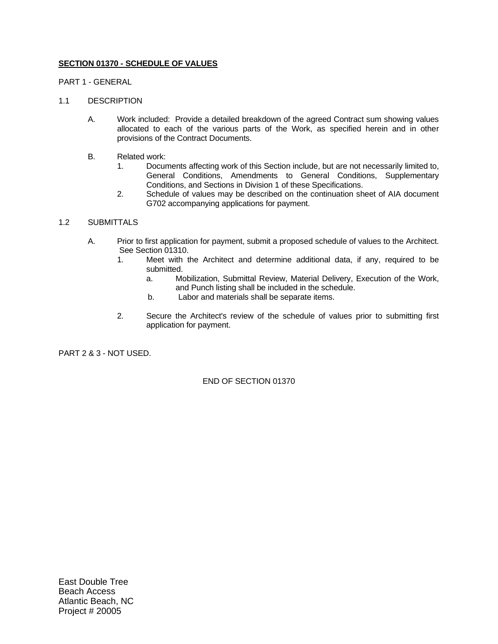# **SECTION 01370 - SCHEDULE OF VALUES**

PART 1 - GENERAL

#### 1.1 DESCRIPTION

- A. Work included: Provide a detailed breakdown of the agreed Contract sum showing values allocated to each of the various parts of the Work, as specified herein and in other provisions of the Contract Documents.
- B. Related work:
	- 1. Documents affecting work of this Section include, but are not necessarily limited to, General Conditions, Amendments to General Conditions, Supplementary Conditions, and Sections in Division 1 of these Specifications.
	- 2. Schedule of values may be described on the continuation sheet of AIA document G702 accompanying applications for payment.

# 1.2 SUBMITTALS

- A. Prior to first application for payment, submit a proposed schedule of values to the Architect. See Section 01310.
	- 1. Meet with the Architect and determine additional data, if any, required to be submitted.
		- a. Mobilization, Submittal Review, Material Delivery, Execution of the Work, and Punch listing shall be included in the schedule.
		- b. Labor and materials shall be separate items.
	- 2. Secure the Architect's review of the schedule of values prior to submitting first application for payment.

PART 2 & 3 - NOT USED.

END OF SECTION 01370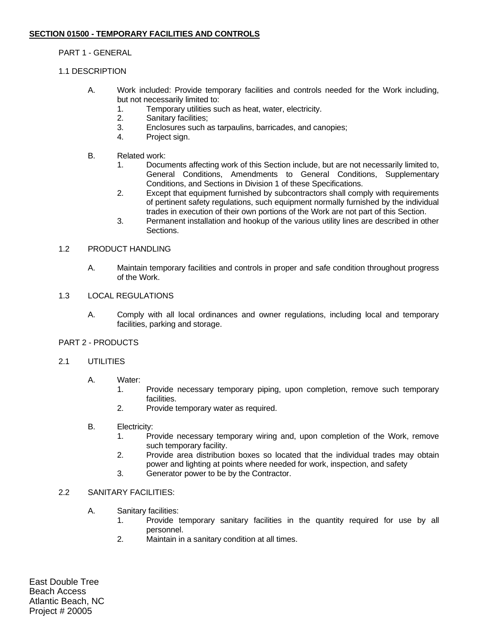# PART 1 - GENERAL

# 1.1 DESCRIPTION

- A. Work included: Provide temporary facilities and controls needed for the Work including, but not necessarily limited to:
	- 1. Temporary utilities such as heat, water, electricity.
	- 2. Sanitary facilities;
	- 3. Enclosures such as tarpaulins, barricades, and canopies;
	- 4. Project sign.
- B. Related work:
	- 1. Documents affecting work of this Section include, but are not necessarily limited to, General Conditions, Amendments to General Conditions, Supplementary Conditions, and Sections in Division 1 of these Specifications.
	- 2. Except that equipment furnished by subcontractors shall comply with requirements of pertinent safety regulations, such equipment normally furnished by the individual trades in execution of their own portions of the Work are not part of this Section.
	- 3. Permanent installation and hookup of the various utility lines are described in other **Sections**

# 1.2 PRODUCT HANDLING

A. Maintain temporary facilities and controls in proper and safe condition throughout progress of the Work.

# 1.3 LOCAL REGULATIONS

A. Comply with all local ordinances and owner regulations, including local and temporary facilities, parking and storage.

# PART 2 - PRODUCTS

# 2.1 UTILITIES

- A. Water:
	- 1. Provide necessary temporary piping, upon completion, remove such temporary facilities.
	- 2. Provide temporary water as required.
- B. Electricity:
	- 1. Provide necessary temporary wiring and, upon completion of the Work, remove such temporary facility.
	- 2. Provide area distribution boxes so located that the individual trades may obtain power and lighting at points where needed for work, inspection, and safety
	- 3. Generator power to be by the Contractor.

# 2.2 SANITARY FACILITIES:

- A. Sanitary facilities:
	- 1. Provide temporary sanitary facilities in the quantity required for use by all personnel.
	- 2. Maintain in a sanitary condition at all times.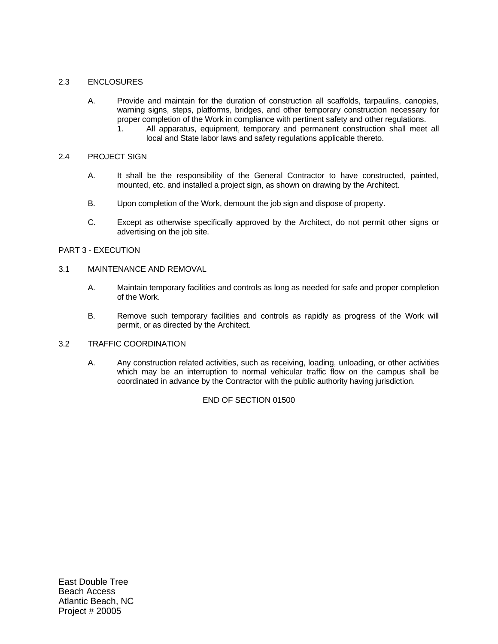# 2.3 ENCLOSURES

- A. Provide and maintain for the duration of construction all scaffolds, tarpaulins, canopies, warning signs, steps, platforms, bridges, and other temporary construction necessary for proper completion of the Work in compliance with pertinent safety and other regulations.
	- 1. All apparatus, equipment, temporary and permanent construction shall meet all local and State labor laws and safety regulations applicable thereto.

#### 2.4 PROJECT SIGN

- A. It shall be the responsibility of the General Contractor to have constructed, painted, mounted, etc. and installed a project sign, as shown on drawing by the Architect.
- B. Upon completion of the Work, demount the job sign and dispose of property.
- C. Except as otherwise specifically approved by the Architect, do not permit other signs or advertising on the job site.

# PART 3 - EXECUTION

# 3.1 MAINTENANCE AND REMOVAL

- A. Maintain temporary facilities and controls as long as needed for safe and proper completion of the Work.
- B. Remove such temporary facilities and controls as rapidly as progress of the Work will permit, or as directed by the Architect.

# 3.2 TRAFFIC COORDINATION

A. Any construction related activities, such as receiving, loading, unloading, or other activities which may be an interruption to normal vehicular traffic flow on the campus shall be coordinated in advance by the Contractor with the public authority having jurisdiction.

# END OF SECTION 01500